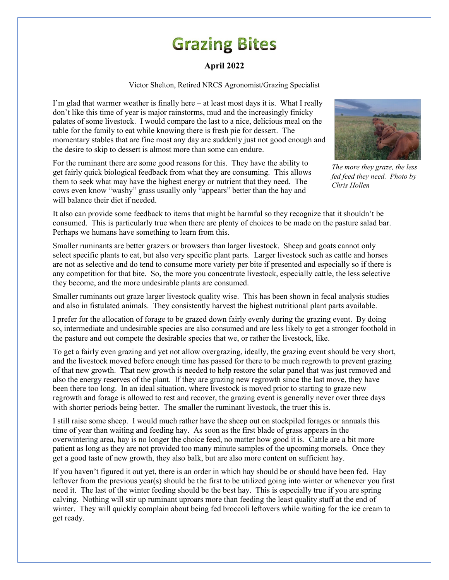## **Grazing Bites**

## **April 2022**

Victor Shelton, Retired NRCS Agronomist/Grazing Specialist

I'm glad that warmer weather is finally here  $-$  at least most days it is. What I really don't like this time of year is major rainstorms, mud and the increasingly finicky palates of some livestock. I would compare the last to a nice, delicious meal on the table for the family to eat while knowing there is fresh pie for dessert. The momentary stables that are fine most any day are suddenly just not good enough and the desire to skip to dessert is almost more than some can endure.

For the ruminant there are some good reasons for this. They have the ability to get fairly quick biological feedback from what they are consuming. This allows them to seek what may have the highest energy or nutrient that they need. The cows even know "washy" grass usually only "appears" better than the hay and will balance their diet if needed.



*The more they graze, the less fed feed they need. Photo by Chris Hollen*

It also can provide some feedback to items that might be harmful so they recognize that it shouldn't be consumed. This is particularly true when there are plenty of choices to be made on the pasture salad bar. Perhaps we humans have something to learn from this.

Smaller ruminants are better grazers or browsers than larger livestock. Sheep and goats cannot only select specific plants to eat, but also very specific plant parts. Larger livestock such as cattle and horses are not as selective and do tend to consume more variety per bite if presented and especially so if there is any competition for that bite. So, the more you concentrate livestock, especially cattle, the less selective they become, and the more undesirable plants are consumed.

Smaller ruminants out graze larger livestock quality wise. This has been shown in fecal analysis studies and also in fistulated animals. They consistently harvest the highest nutritional plant parts available.

I prefer for the allocation of forage to be grazed down fairly evenly during the grazing event. By doing so, intermediate and undesirable species are also consumed and are less likely to get a stronger foothold in the pasture and out compete the desirable species that we, or rather the livestock, like.

To get a fairly even grazing and yet not allow overgrazing, ideally, the grazing event should be very short, and the livestock moved before enough time has passed for there to be much regrowth to prevent grazing of that new growth. That new growth is needed to help restore the solar panel that was just removed and also the energy reserves of the plant. If they are grazing new regrowth since the last move, they have been there too long. In an ideal situation, where livestock is moved prior to starting to graze new regrowth and forage is allowed to rest and recover, the grazing event is generally never over three days with shorter periods being better. The smaller the ruminant livestock, the truer this is.

I still raise some sheep. I would much rather have the sheep out on stockpiled forages or annuals this time of year than waiting and feeding hay. As soon as the first blade of grass appears in the overwintering area, hay is no longer the choice feed, no matter how good it is. Cattle are a bit more patient as long as they are not provided too many minute samples of the upcoming morsels. Once they get a good taste of new growth, they also balk, but are also more content on sufficient hay.

If you haven't figured it out yet, there is an order in which hay should be or should have been fed. Hay leftover from the previous year(s) should be the first to be utilized going into winter or whenever you first need it. The last of the winter feeding should be the best hay. This is especially true if you are spring calving. Nothing will stir up ruminant uproars more than feeding the least quality stuff at the end of winter. They will quickly complain about being fed broccoli leftovers while waiting for the ice cream to get ready.